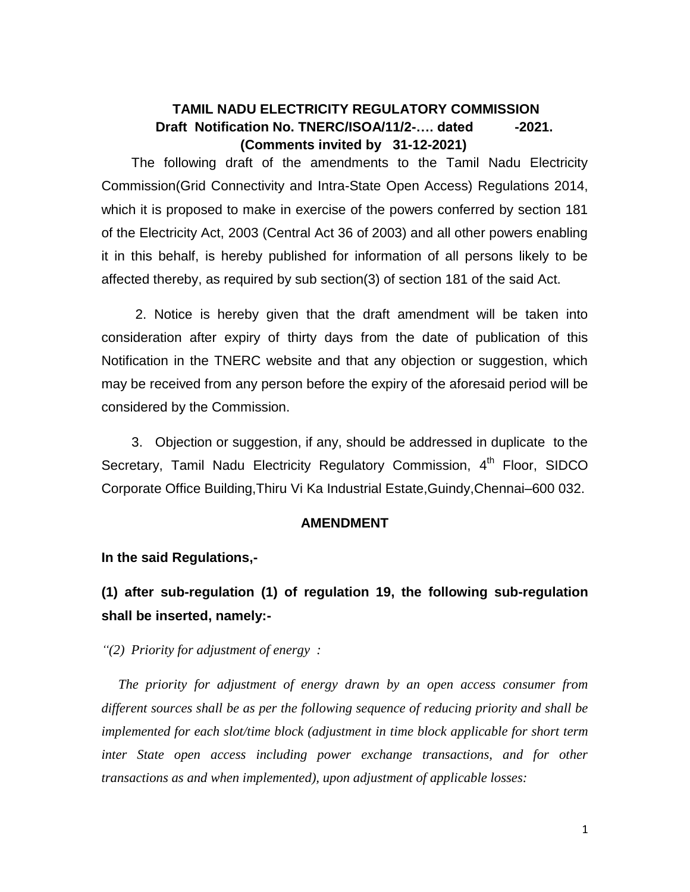## **TAMIL NADU ELECTRICITY REGULATORY COMMISSION Draft** Notification No. TNERC/ISOA/11/2-.... dated -2021.  **(Comments invited by 31-12-2021)**

 The following draft of the amendments to the Tamil Nadu Electricity Commission(Grid Connectivity and Intra-State Open Access) Regulations 2014, which it is proposed to make in exercise of the powers conferred by section 181 of the Electricity Act, 2003 (Central Act 36 of 2003) and all other powers enabling it in this behalf, is hereby published for information of all persons likely to be affected thereby, as required by sub section(3) of section 181 of the said Act.

 2. Notice is hereby given that the draft amendment will be taken into consideration after expiry of thirty days from the date of publication of this Notification in the TNERC website and that any objection or suggestion, which may be received from any person before the expiry of the aforesaid period will be considered by the Commission.

 3. Objection or suggestion, if any, should be addressed in duplicate to the Secretary, Tamil Nadu Electricity Regulatory Commission, 4<sup>th</sup> Floor, SIDCO Corporate Office Building,Thiru Vi Ka Industrial Estate,Guindy,Chennai–600 032.

### **AMENDMENT**

**In the said Regulations,-**

# **(1) after sub-regulation (1) of regulation 19, the following sub-regulation shall be inserted, namely:-**

*"(2) Priority for adjustment of energy :*

 *The priority for adjustment of energy drawn by an open access consumer from different sources shall be as per the following sequence of reducing priority and shall be implemented for each slot/time block (adjustment in time block applicable for short term inter State open access including power exchange transactions, and for other transactions as and when implemented), upon adjustment of applicable losses:*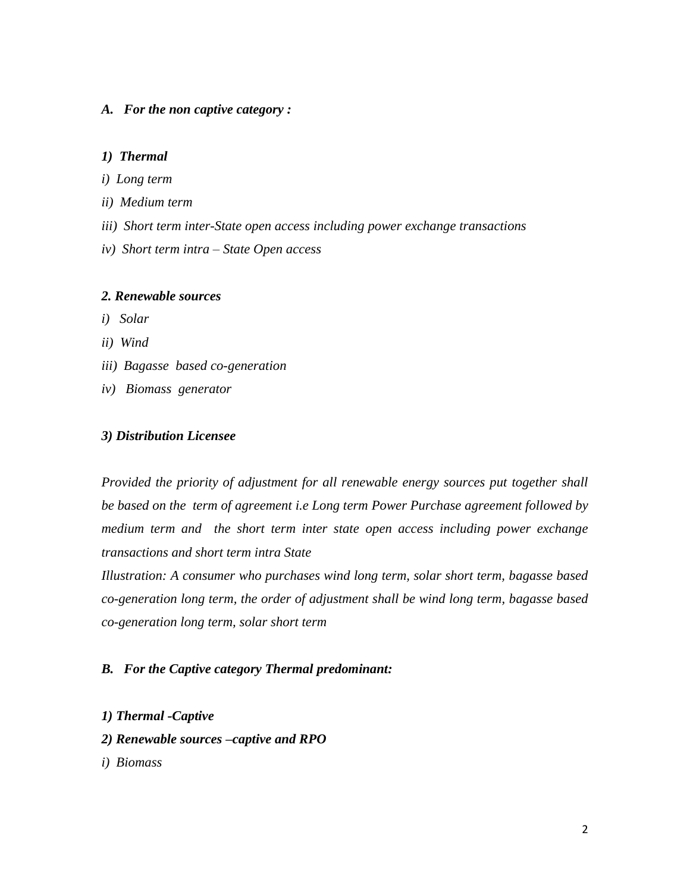#### *A. For the non captive category :*

#### *1) Thermal*

- *i) Long term*
- *ii) Medium term*
- *iii) Short term inter-State open access including power exchange transactions*
- *iv) Short term intra – State Open access*

#### *2. Renewable sources*

- *i) Solar*
- *ii) Wind*
- *iii) Bagasse based co-generation*
- *iv) Biomass generator*

#### *3) Distribution Licensee*

*Provided the priority of adjustment for all renewable energy sources put together shall be based on the term of agreement i.e Long term Power Purchase agreement followed by medium term and the short term inter state open access including power exchange transactions and short term intra State* 

*Illustration: A consumer who purchases wind long term, solar short term, bagasse based co-generation long term, the order of adjustment shall be wind long term, bagasse based co-generation long term, solar short term* 

### *B. For the Captive category Thermal predominant:*

- *1) Thermal -Captive*
- *2) Renewable sources –captive and RPO*
- *i) Biomass*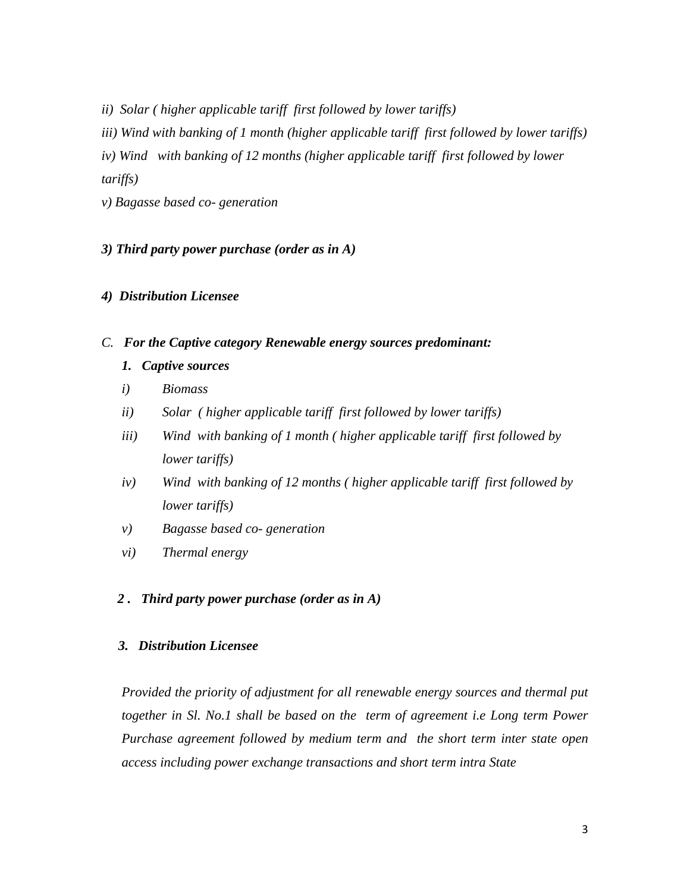*ii) Solar ( higher applicable tariff first followed by lower tariffs)*

*iii) Wind with banking of 1 month (higher applicable tariff first followed by lower tariffs)*

*iv) Wind with banking of 12 months (higher applicable tariff first followed by lower* 

*tariffs)* 

*v) Bagasse based co- generation*

*3) Third party power purchase (order as in A)*

### *4) Distribution Licensee*

### *C. For the Captive category Renewable energy sources predominant:*

- *1. Captive sources*
- *i) Biomass*
- *ii) Solar ( higher applicable tariff first followed by lower tariffs)*
- *iii) Wind with banking of 1 month ( higher applicable tariff first followed by lower tariffs)*
- *iv) Wind with banking of 12 months ( higher applicable tariff first followed by lower tariffs)*
- *v) Bagasse based co- generation*
- *vi) Thermal energy*

### *2 . Third party power purchase (order as in A)*

### *3. Distribution Licensee*

*Provided the priority of adjustment for all renewable energy sources and thermal put together in Sl. No.1 shall be based on the term of agreement i.e Long term Power Purchase agreement followed by medium term and the short term inter state open access including power exchange transactions and short term intra State*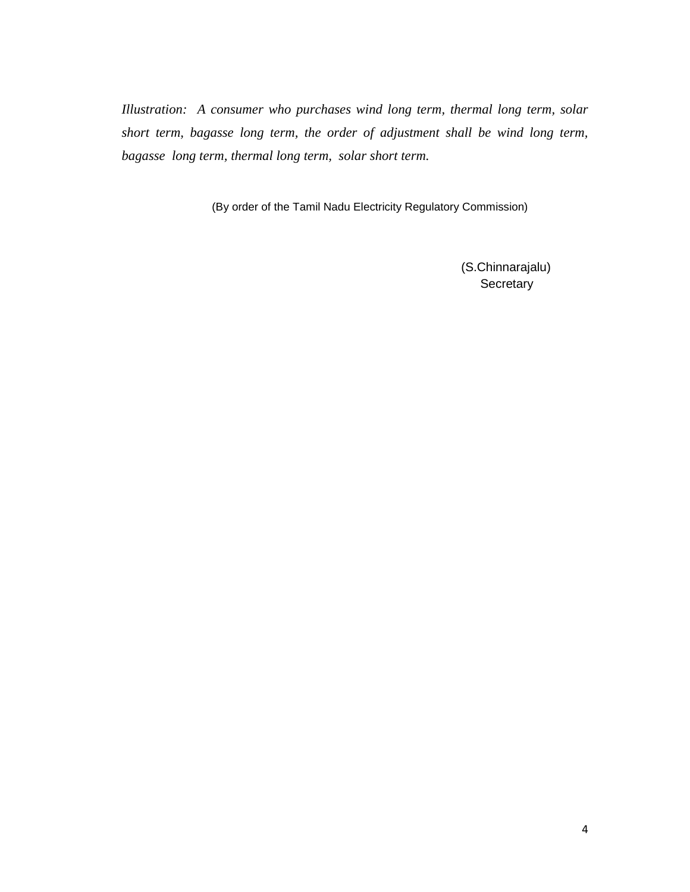*Illustration: A consumer who purchases wind long term, thermal long term, solar short term, bagasse long term, the order of adjustment shall be wind long term, bagasse long term, thermal long term, solar short term.*

(By order of the Tamil Nadu Electricity Regulatory Commission)

 (S.Chinnarajalu) **Secretary**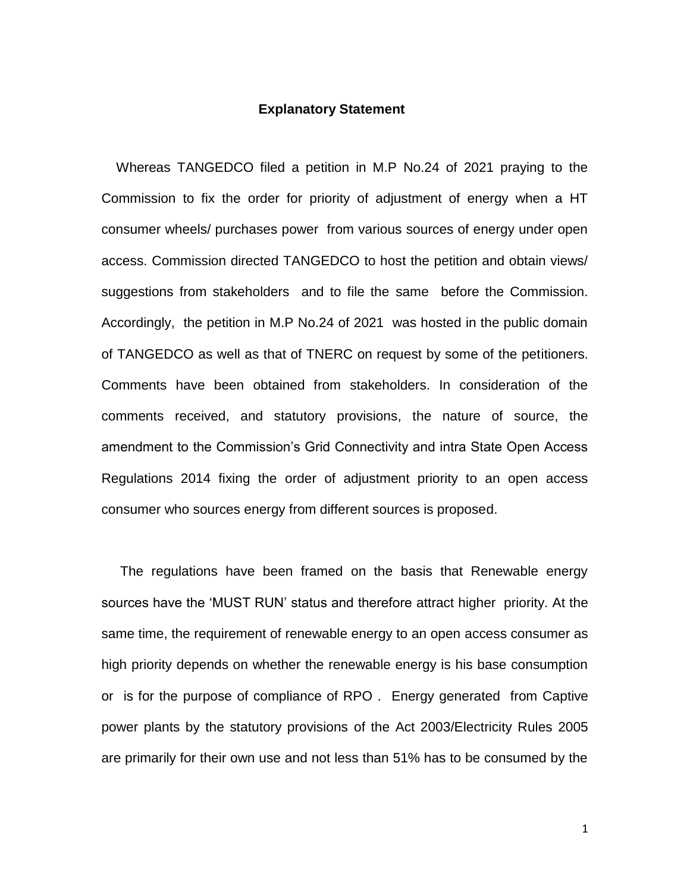#### **Explanatory Statement**

 Whereas TANGEDCO filed a petition in M.P No.24 of 2021 praying to the Commission to fix the order for priority of adjustment of energy when a HT consumer wheels/ purchases power from various sources of energy under open access. Commission directed TANGEDCO to host the petition and obtain views/ suggestions from stakeholders and to file the same before the Commission. Accordingly, the petition in M.P No.24 of 2021 was hosted in the public domain of TANGEDCO as well as that of TNERC on request by some of the petitioners. Comments have been obtained from stakeholders. In consideration of the comments received, and statutory provisions, the nature of source, the amendment to the Commission's Grid Connectivity and intra State Open Access Regulations 2014 fixing the order of adjustment priority to an open access consumer who sources energy from different sources is proposed.

 The regulations have been framed on the basis that Renewable energy sources have the 'MUST RUN' status and therefore attract higher priority. At the same time, the requirement of renewable energy to an open access consumer as high priority depends on whether the renewable energy is his base consumption or is for the purpose of compliance of RPO . Energy generated from Captive power plants by the statutory provisions of the Act 2003/Electricity Rules 2005 are primarily for their own use and not less than 51% has to be consumed by the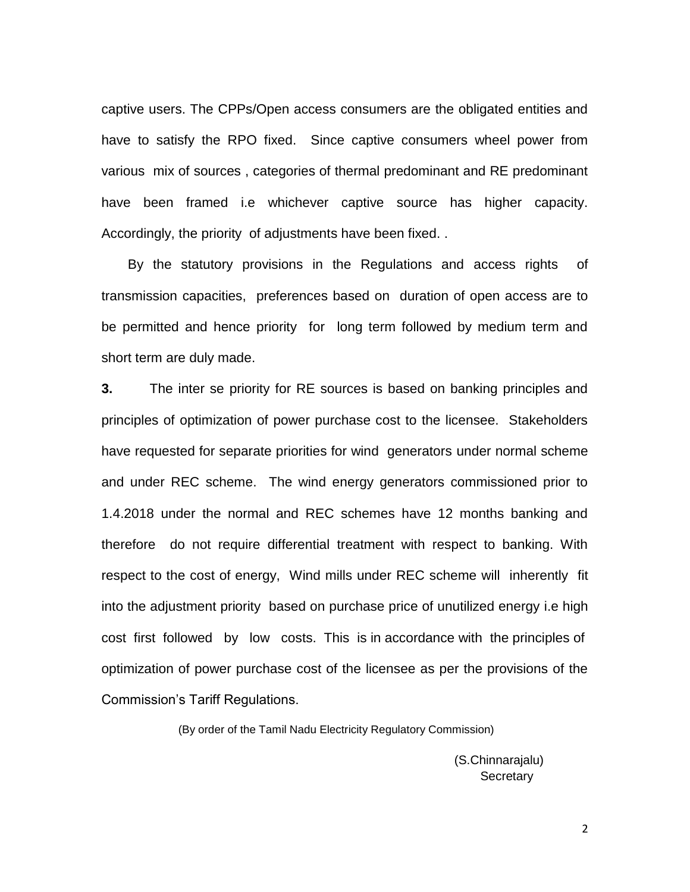captive users. The CPPs/Open access consumers are the obligated entities and have to satisfy the RPO fixed. Since captive consumers wheel power from various mix of sources , categories of thermal predominant and RE predominant have been framed i.e whichever captive source has higher capacity. Accordingly, the priority of adjustments have been fixed. .

 By the statutory provisions in the Regulations and access rights of transmission capacities, preferences based on duration of open access are to be permitted and hence priority for long term followed by medium term and short term are duly made.

**3.** The inter se priority for RE sources is based on banking principles and principles of optimization of power purchase cost to the licensee. Stakeholders have requested for separate priorities for wind generators under normal scheme and under REC scheme. The wind energy generators commissioned prior to 1.4.2018 under the normal and REC schemes have 12 months banking and therefore do not require differential treatment with respect to banking. With respect to the cost of energy, Wind mills under REC scheme will inherently fit into the adjustment priority based on purchase price of unutilized energy i.e high cost first followed by low costs. This is in accordance with the principles of optimization of power purchase cost of the licensee as per the provisions of the Commission's Tariff Regulations.

(By order of the Tamil Nadu Electricity Regulatory Commission)

 (S.Chinnarajalu) Secretary and the contract of the contract of the Secretary

2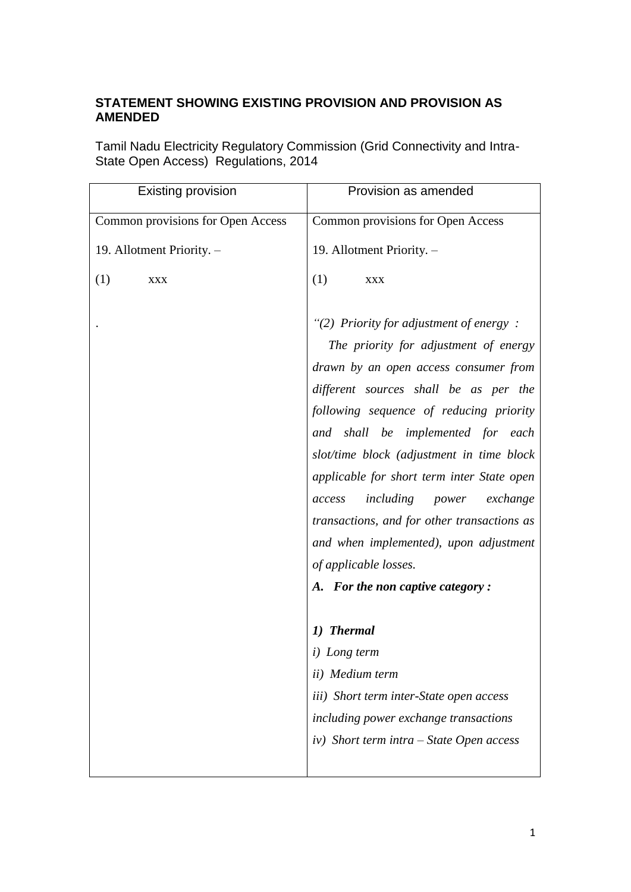# **STATEMENT SHOWING EXISTING PROVISION AND PROVISION AS AMENDED**

Tamil Nadu Electricity Regulatory Commission (Grid Connectivity and Intra-State Open Access) Regulations, 2014

| <b>Existing provision</b>         | Provision as amended                                                                                                                                                                                                                                                                                                                                                                                                                                                                                                                                |
|-----------------------------------|-----------------------------------------------------------------------------------------------------------------------------------------------------------------------------------------------------------------------------------------------------------------------------------------------------------------------------------------------------------------------------------------------------------------------------------------------------------------------------------------------------------------------------------------------------|
| Common provisions for Open Access | Common provisions for Open Access                                                                                                                                                                                                                                                                                                                                                                                                                                                                                                                   |
| 19. Allotment Priority. -         | 19. Allotment Priority. -                                                                                                                                                                                                                                                                                                                                                                                                                                                                                                                           |
| (1)<br><b>XXX</b>                 | (1)<br><b>XXX</b>                                                                                                                                                                                                                                                                                                                                                                                                                                                                                                                                   |
|                                   | "(2) Priority for adjustment of energy:<br>The priority for adjustment of energy<br>drawn by an open access consumer from<br>different sources shall be as per the<br>following sequence of reducing priority<br>and shall be implemented for each<br>slot/time block (adjustment in time block<br>applicable for short term inter State open<br><i>including power</i><br>exchange<br>access<br>transactions, and for other transactions as<br>and when implemented), upon adjustment<br>of applicable losses.<br>A. For the non captive category: |
|                                   | 1) Thermal<br><i>i</i> ) Long term<br>ii) Medium term<br>iii) Short term inter-State open access                                                                                                                                                                                                                                                                                                                                                                                                                                                    |
|                                   | including power exchange transactions                                                                                                                                                                                                                                                                                                                                                                                                                                                                                                               |
|                                   | $iv)$ Short term intra – State Open access                                                                                                                                                                                                                                                                                                                                                                                                                                                                                                          |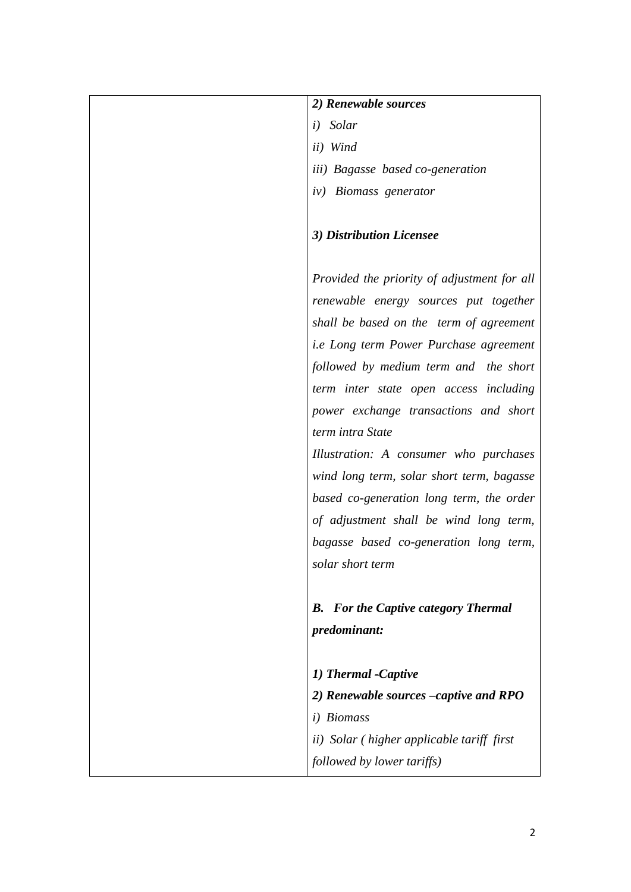| 2) Renewable sources                              |
|---------------------------------------------------|
| i) Solar                                          |
| ii) Wind                                          |
| iii) Bagasse based co-generation                  |
| iv) Biomass generator                             |
|                                                   |
| 3) Distribution Licensee                          |
|                                                   |
| Provided the priority of adjustment for all       |
| renewable energy sources put together             |
| shall be based on the term of agreement           |
| <i>i.e Long term Power Purchase agreement</i>     |
| followed by medium term and the short             |
| term inter state open access including            |
| power exchange transactions and short             |
| term intra State                                  |
| Illustration: A consumer who purchases            |
| wind long term, solar short term, bagasse         |
| based co-generation long term, the order          |
| of adjustment shall be wind long term,            |
| bagasse based co-generation long term,            |
| solar short term                                  |
|                                                   |
| <b>For the Captive category Thermal</b><br>В.     |
| predominant:                                      |
|                                                   |
| 1) Thermal -Captive                               |
| 2) Renewable sources –captive and RPO             |
| i) Biomass                                        |
| <i>ii</i> ) Solar (higher applicable tariff first |
| followed by lower tariffs)                        |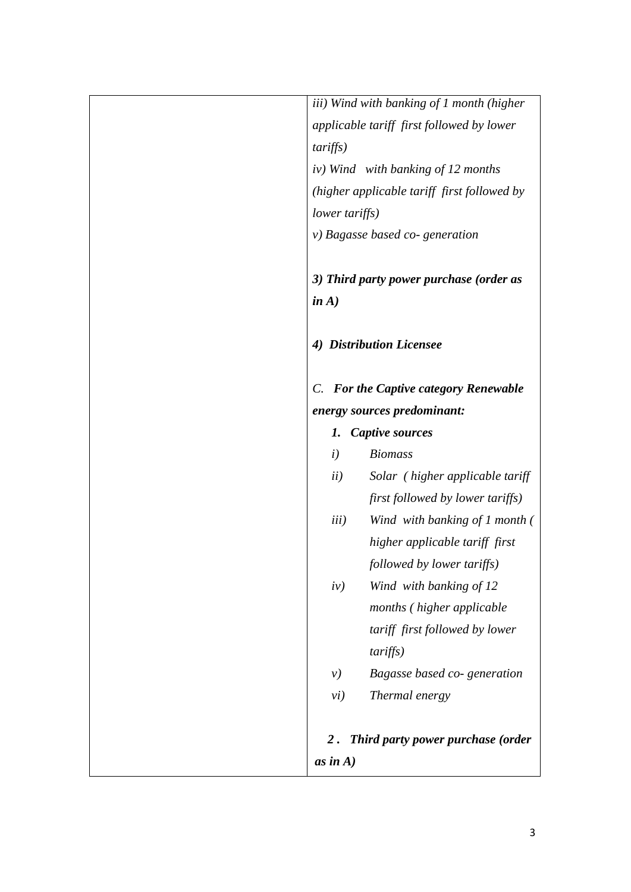| iii) Wind with banking of 1 month (higher   |
|---------------------------------------------|
| applicable tariff first followed by lower   |
| tariffs)                                    |
| iv) Wind with banking of 12 months          |
| (higher applicable tariff first followed by |
| lower tariffs)                              |
| $\nu$ ) Bagasse based co-generation         |
|                                             |
| 3) Third party power purchase (order as     |
| in $A$ )                                    |
|                                             |
| 4) Distribution Licensee                    |
|                                             |
| C. For the Captive category Renewable       |
| energy sources predominant:                 |
| <b>Captive sources</b><br>1.                |
| $\left(i\right)$<br><b>Biomass</b>          |
| ii)<br>Solar (higher applicable tariff      |
| first followed by lower tariffs)            |
| iii)<br>Wind with banking of 1 month (      |
| higher applicable tariff first              |
| followed by lower tariffs)                  |
| Wind with banking of 12<br>iv)              |
| months (higher applicable                   |
| tariff first followed by lower              |
| tariffs)                                    |
| Bagasse based co-generation<br>$\nu$        |
| Thermal energy<br>vi)                       |
|                                             |
| Third party power purchase (order<br>$2$ .  |
| as in $A)$                                  |
|                                             |